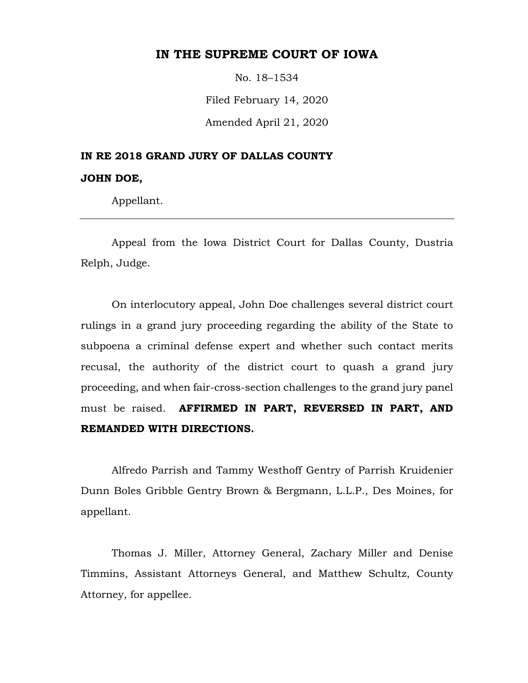## **IN THE SUPREME COURT OF IOWA**

No. 18–1534

Filed February 14, 2020

Amended April 21, 2020

# **IN RE 2018 GRAND JURY OF DALLAS COUNTY JOHN DOE,**

Appellant.

Appeal from the Iowa District Court for Dallas County, Dustria Relph, Judge.

On interlocutory appeal, John Doe challenges several district court rulings in a grand jury proceeding regarding the ability of the State to subpoena a criminal defense expert and whether such contact merits recusal, the authority of the district court to quash a grand jury proceeding, and when fair-cross-section challenges to the grand jury panel must be raised. **AFFIRMED IN PART, REVERSED IN PART, AND REMANDED WITH DIRECTIONS.**

Alfredo Parrish and Tammy Westhoff Gentry of Parrish Kruidenier Dunn Boles Gribble Gentry Brown & Bergmann, L.L.P., Des Moines, for appellant.

Thomas J. Miller, Attorney General, Zachary Miller and Denise Timmins, Assistant Attorneys General, and Matthew Schultz, County Attorney, for appellee.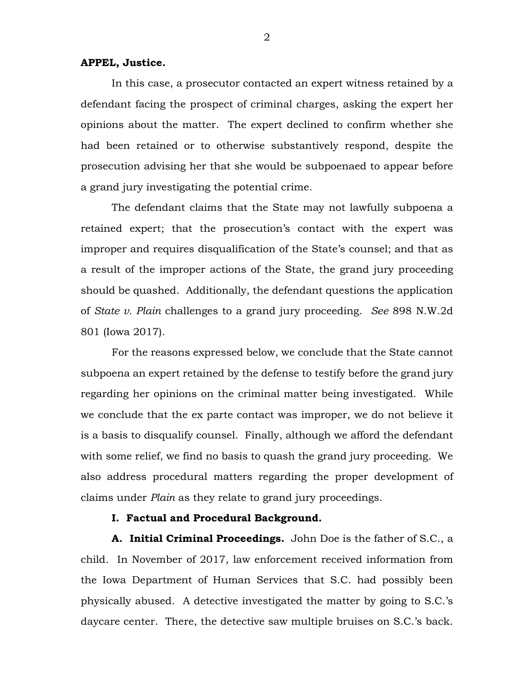#### **APPEL, Justice.**

In this case, a prosecutor contacted an expert witness retained by a defendant facing the prospect of criminal charges, asking the expert her opinions about the matter. The expert declined to confirm whether she had been retained or to otherwise substantively respond, despite the prosecution advising her that she would be subpoenaed to appear before a grand jury investigating the potential crime.

The defendant claims that the State may not lawfully subpoena a retained expert; that the prosecution's contact with the expert was improper and requires disqualification of the State's counsel; and that as a result of the improper actions of the State, the grand jury proceeding should be quashed. Additionally, the defendant questions the application of *State v. Plain* challenges to a grand jury proceeding. *See* 898 N.W.2d 801 (Iowa 2017).

For the reasons expressed below, we conclude that the State cannot subpoena an expert retained by the defense to testify before the grand jury regarding her opinions on the criminal matter being investigated. While we conclude that the ex parte contact was improper, we do not believe it is a basis to disqualify counsel. Finally, although we afford the defendant with some relief, we find no basis to quash the grand jury proceeding. We also address procedural matters regarding the proper development of claims under *Plain* as they relate to grand jury proceedings.

## **I. Factual and Procedural Background.**

**A. Initial Criminal Proceedings.** John Doe is the father of S.C., a child. In November of 2017, law enforcement received information from the Iowa Department of Human Services that S.C. had possibly been physically abused. A detective investigated the matter by going to S.C.'s daycare center. There, the detective saw multiple bruises on S.C.'s back.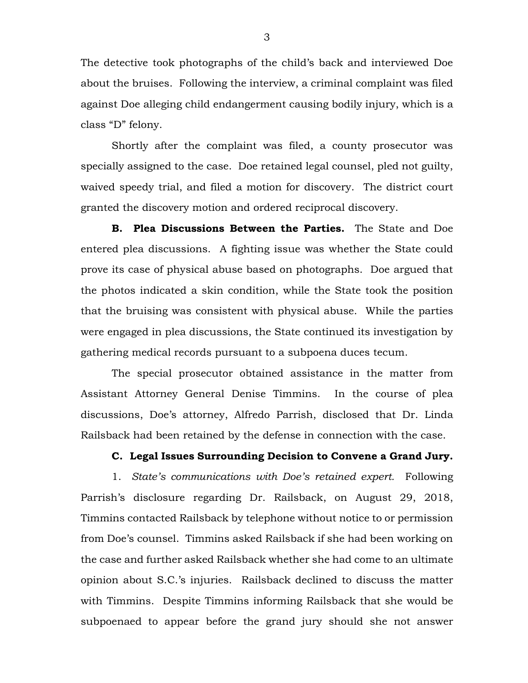The detective took photographs of the child's back and interviewed Doe about the bruises. Following the interview, a criminal complaint was filed against Doe alleging child endangerment causing bodily injury, which is a class "D" felony.

Shortly after the complaint was filed, a county prosecutor was specially assigned to the case. Doe retained legal counsel, pled not guilty, waived speedy trial, and filed a motion for discovery. The district court granted the discovery motion and ordered reciprocal discovery.

**B. Plea Discussions Between the Parties.** The State and Doe entered plea discussions. A fighting issue was whether the State could prove its case of physical abuse based on photographs. Doe argued that the photos indicated a skin condition, while the State took the position that the bruising was consistent with physical abuse. While the parties were engaged in plea discussions, the State continued its investigation by gathering medical records pursuant to a subpoena duces tecum.

The special prosecutor obtained assistance in the matter from Assistant Attorney General Denise Timmins. In the course of plea discussions, Doe's attorney, Alfredo Parrish, disclosed that Dr. Linda Railsback had been retained by the defense in connection with the case.

## **C. Legal Issues Surrounding Decision to Convene a Grand Jury.**

1. *State's communications with Doe's retained expert.* Following Parrish's disclosure regarding Dr. Railsback, on August 29, 2018, Timmins contacted Railsback by telephone without notice to or permission from Doe's counsel. Timmins asked Railsback if she had been working on the case and further asked Railsback whether she had come to an ultimate opinion about S.C.'s injuries. Railsback declined to discuss the matter with Timmins. Despite Timmins informing Railsback that she would be subpoenaed to appear before the grand jury should she not answer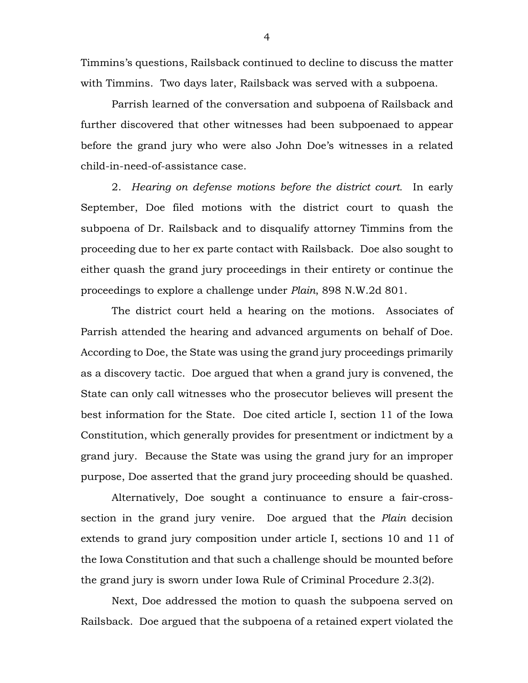Timmins's questions, Railsback continued to decline to discuss the matter with Timmins. Two days later, Railsback was served with a subpoena.

Parrish learned of the conversation and subpoena of Railsback and further discovered that other witnesses had been subpoenaed to appear before the grand jury who were also John Doe's witnesses in a related child-in-need-of-assistance case.

2. *Hearing on defense motions before the district court.* In early September, Doe filed motions with the district court to quash the subpoena of Dr. Railsback and to disqualify attorney Timmins from the proceeding due to her ex parte contact with Railsback. Doe also sought to either quash the grand jury proceedings in their entirety or continue the proceedings to explore a challenge under *Plain*, 898 N.W.2d 801.

The district court held a hearing on the motions. Associates of Parrish attended the hearing and advanced arguments on behalf of Doe. According to Doe, the State was using the grand jury proceedings primarily as a discovery tactic. Doe argued that when a grand jury is convened, the State can only call witnesses who the prosecutor believes will present the best information for the State. Doe cited article I, section 11 of the Iowa Constitution, which generally provides for presentment or indictment by a grand jury. Because the State was using the grand jury for an improper purpose, Doe asserted that the grand jury proceeding should be quashed.

Alternatively, Doe sought a continuance to ensure a fair-crosssection in the grand jury venire. Doe argued that the *Plain* decision extends to grand jury composition under article I, sections 10 and 11 of the Iowa Constitution and that such a challenge should be mounted before the grand jury is sworn under Iowa Rule of Criminal Procedure 2.3(2).

Next, Doe addressed the motion to quash the subpoena served on Railsback. Doe argued that the subpoena of a retained expert violated the

4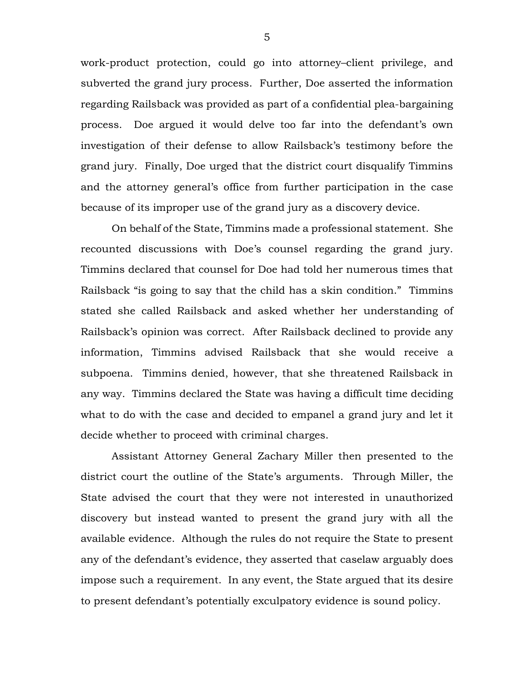work-product protection, could go into attorney–client privilege, and subverted the grand jury process. Further, Doe asserted the information regarding Railsback was provided as part of a confidential plea-bargaining process. Doe argued it would delve too far into the defendant's own investigation of their defense to allow Railsback's testimony before the grand jury. Finally, Doe urged that the district court disqualify Timmins and the attorney general's office from further participation in the case because of its improper use of the grand jury as a discovery device.

On behalf of the State, Timmins made a professional statement. She recounted discussions with Doe's counsel regarding the grand jury. Timmins declared that counsel for Doe had told her numerous times that Railsback "is going to say that the child has a skin condition." Timmins stated she called Railsback and asked whether her understanding of Railsback's opinion was correct. After Railsback declined to provide any information, Timmins advised Railsback that she would receive a subpoena. Timmins denied, however, that she threatened Railsback in any way. Timmins declared the State was having a difficult time deciding what to do with the case and decided to empanel a grand jury and let it decide whether to proceed with criminal charges.

Assistant Attorney General Zachary Miller then presented to the district court the outline of the State's arguments. Through Miller, the State advised the court that they were not interested in unauthorized discovery but instead wanted to present the grand jury with all the available evidence. Although the rules do not require the State to present any of the defendant's evidence, they asserted that caselaw arguably does impose such a requirement. In any event, the State argued that its desire to present defendant's potentially exculpatory evidence is sound policy.

5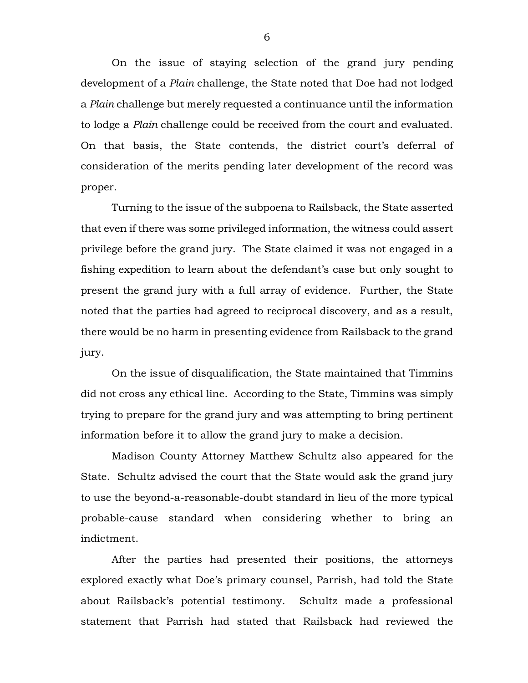On the issue of staying selection of the grand jury pending development of a *Plain* challenge, the State noted that Doe had not lodged a *Plain* challenge but merely requested a continuance until the information to lodge a *Plain* challenge could be received from the court and evaluated. On that basis, the State contends, the district court's deferral of consideration of the merits pending later development of the record was proper.

Turning to the issue of the subpoena to Railsback, the State asserted that even if there was some privileged information, the witness could assert privilege before the grand jury. The State claimed it was not engaged in a fishing expedition to learn about the defendant's case but only sought to present the grand jury with a full array of evidence. Further, the State noted that the parties had agreed to reciprocal discovery, and as a result, there would be no harm in presenting evidence from Railsback to the grand jury.

On the issue of disqualification, the State maintained that Timmins did not cross any ethical line. According to the State, Timmins was simply trying to prepare for the grand jury and was attempting to bring pertinent information before it to allow the grand jury to make a decision.

Madison County Attorney Matthew Schultz also appeared for the State. Schultz advised the court that the State would ask the grand jury to use the beyond-a-reasonable-doubt standard in lieu of the more typical probable-cause standard when considering whether to bring an indictment.

After the parties had presented their positions, the attorneys explored exactly what Doe's primary counsel, Parrish, had told the State about Railsback's potential testimony. Schultz made a professional statement that Parrish had stated that Railsback had reviewed the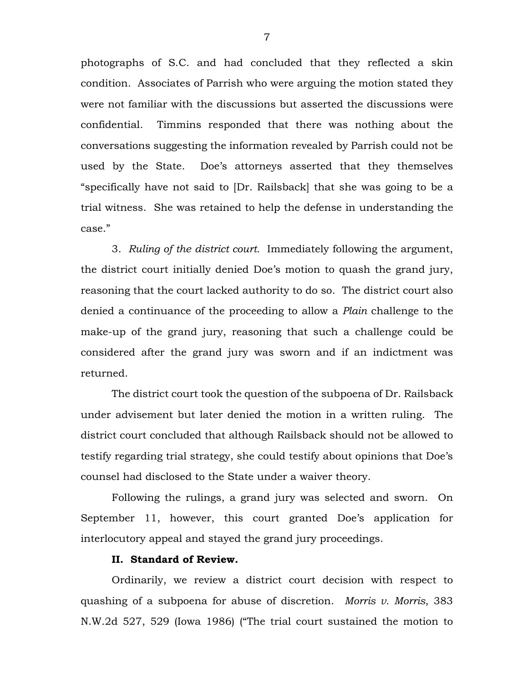photographs of S.C. and had concluded that they reflected a skin condition. Associates of Parrish who were arguing the motion stated they were not familiar with the discussions but asserted the discussions were confidential. Timmins responded that there was nothing about the conversations suggesting the information revealed by Parrish could not be used by the State. Doe's attorneys asserted that they themselves "specifically have not said to [Dr. Railsback] that she was going to be a trial witness. She was retained to help the defense in understanding the case."

3. *Ruling of the district court.* Immediately following the argument, the district court initially denied Doe's motion to quash the grand jury, reasoning that the court lacked authority to do so. The district court also denied a continuance of the proceeding to allow a *Plain* challenge to the make-up of the grand jury, reasoning that such a challenge could be considered after the grand jury was sworn and if an indictment was returned.

The district court took the question of the subpoena of Dr. Railsback under advisement but later denied the motion in a written ruling. The district court concluded that although Railsback should not be allowed to testify regarding trial strategy, she could testify about opinions that Doe's counsel had disclosed to the State under a waiver theory.

Following the rulings, a grand jury was selected and sworn. On September 11, however, this court granted Doe's application for interlocutory appeal and stayed the grand jury proceedings.

## **II. Standard of Review.**

Ordinarily, we review a district court decision with respect to quashing of a subpoena for abuse of discretion. *Morris v. Morris*, 383 N.W.2d 527, 529 (Iowa 1986) ("The trial court sustained the motion to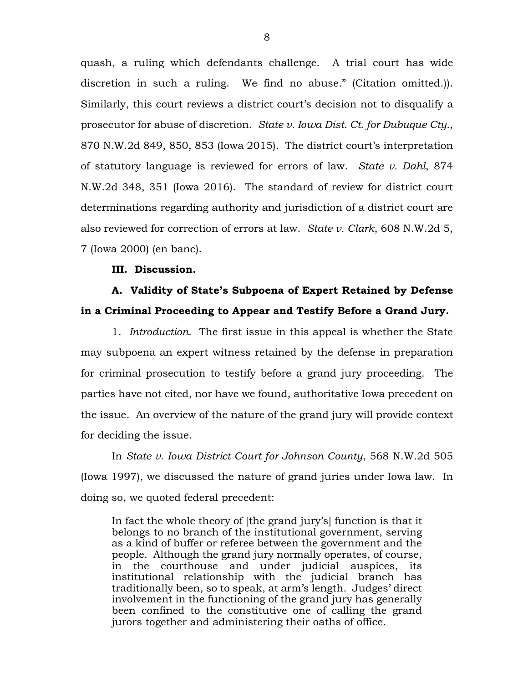quash, a ruling which defendants challenge. A trial court has wide discretion in such a ruling. We find no abuse." (Citation omitted.)). Similarly, this court reviews a district court's decision not to disqualify a prosecutor for abuse of discretion. *State v. Iowa Dist. Ct. for Dubuque Cty.*, 870 N.W.2d 849, 850, 853 (Iowa 2015). The district court's interpretation of statutory language is reviewed for errors of law. *State v. Dahl*, 874 N.W.2d 348, 351 (Iowa 2016). The standard of review for district court determinations regarding authority and jurisdiction of a district court are also reviewed for correction of errors at law. *State v. Clark*, 608 N.W.2d 5, 7 (Iowa 2000) (en banc).

### **III. Discussion.**

# **A. Validity of State's Subpoena of Expert Retained by Defense in a Criminal Proceeding to Appear and Testify Before a Grand Jury.**

1. *Introduction.* The first issue in this appeal is whether the State may subpoena an expert witness retained by the defense in preparation for criminal prosecution to testify before a grand jury proceeding. The parties have not cited, nor have we found, authoritative Iowa precedent on the issue. An overview of the nature of the grand jury will provide context for deciding the issue.

In *State v. Iowa District Court for Johnson County*, 568 N.W.2d 505 (Iowa 1997), we discussed the nature of grand juries under Iowa law. In doing so, we quoted federal precedent:

In fact the whole theory of [the grand jury's] function is that it belongs to no branch of the institutional government, serving as a kind of buffer or referee between the government and the people. Although the grand jury normally operates, of course, in the courthouse and under judicial auspices, its institutional relationship with the judicial branch has traditionally been, so to speak, at arm's length. Judges' direct involvement in the functioning of the grand jury has generally been confined to the constitutive one of calling the grand jurors together and administering their oaths of office.

8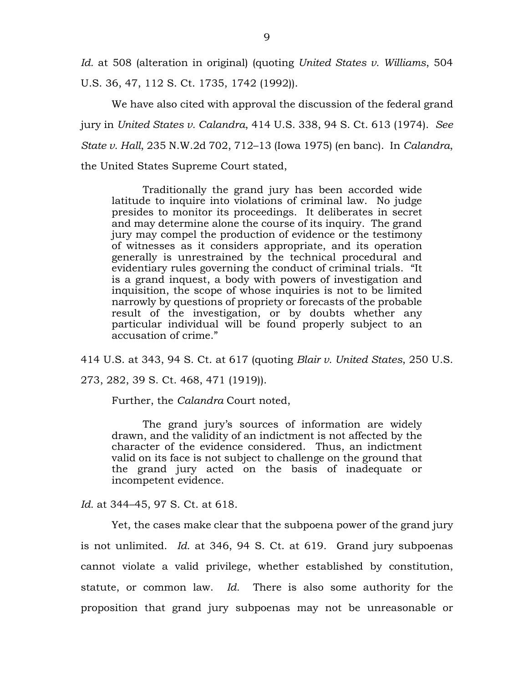*Id.* at 508 (alteration in original) (quoting *United States v. Williams*, 504 U.S. 36, 47, 112 S. Ct. 1735, 1742 (1992)).

We have also cited with approval the discussion of the federal grand jury in *United States v. Calandra*, 414 U.S. 338, 94 S. Ct. 613 (1974). *See State v. Hall*, 235 N.W.2d 702, 712–13 (Iowa 1975) (en banc). In *Calandra*, the United States Supreme Court stated,

Traditionally the grand jury has been accorded wide latitude to inquire into violations of criminal law. No judge presides to monitor its proceedings. It deliberates in secret and may determine alone the course of its inquiry. The grand jury may compel the production of evidence or the testimony of witnesses as it considers appropriate, and its operation generally is unrestrained by the technical procedural and evidentiary rules governing the conduct of criminal trials. "It is a grand inquest, a body with powers of investigation and inquisition, the scope of whose inquiries is not to be limited narrowly by questions of propriety or forecasts of the probable result of the investigation, or by doubts whether any particular individual will be found properly subject to an accusation of crime."

414 U.S. at 343, 94 S. Ct. at 617 (quoting *Blair v. United States*, 250 U.S.

273, 282, 39 S. Ct. 468, 471 (1919)).

Further, the *Calandra* Court noted,

The grand jury's sources of information are widely drawn, and the validity of an indictment is not affected by the character of the evidence considered. Thus, an indictment valid on its face is not subject to challenge on the ground that the grand jury acted on the basis of inadequate or incompetent evidence.

*Id.* at 344–45, 97 S. Ct. at 618.

Yet, the cases make clear that the subpoena power of the grand jury is not unlimited. *Id.* at 346, 94 S. Ct. at 619. Grand jury subpoenas cannot violate a valid privilege, whether established by constitution, statute, or common law. *Id.* There is also some authority for the proposition that grand jury subpoenas may not be unreasonable or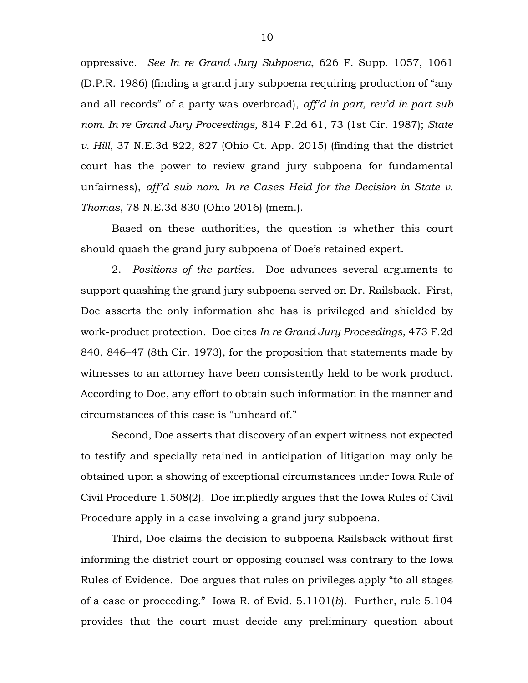oppressive*. See In re Grand Jury Subpoena*, 626 F. Supp. 1057, 1061 (D.P.R. 1986) (finding a grand jury subpoena requiring production of "any and all records" of a party was overbroad), *aff'd in part, rev'd in part sub nom. In re Grand Jury Proceedings*, 814 F.2d 61, 73 (1st Cir. 1987); *State v. Hill*, 37 N.E.3d 822, 827 (Ohio Ct. App. 2015) (finding that the district court has the power to review grand jury subpoena for fundamental unfairness), *aff'd sub nom. In re Cases Held for the Decision in State v. Thomas*, 78 N.E.3d 830 (Ohio 2016) (mem.).

Based on these authorities, the question is whether this court should quash the grand jury subpoena of Doe's retained expert.

2. *Positions of the parties.* Doe advances several arguments to support quashing the grand jury subpoena served on Dr. Railsback. First, Doe asserts the only information she has is privileged and shielded by work-product protection. Doe cites *In re Grand Jury Proceedings*, 473 F.2d 840, 846–47 (8th Cir. 1973), for the proposition that statements made by witnesses to an attorney have been consistently held to be work product. According to Doe, any effort to obtain such information in the manner and circumstances of this case is "unheard of."

Second, Doe asserts that discovery of an expert witness not expected to testify and specially retained in anticipation of litigation may only be obtained upon a showing of exceptional circumstances under Iowa Rule of Civil Procedure 1.508(2). Doe impliedly argues that the Iowa Rules of Civil Procedure apply in a case involving a grand jury subpoena.

Third, Doe claims the decision to subpoena Railsback without first informing the district court or opposing counsel was contrary to the Iowa Rules of Evidence. Doe argues that rules on privileges apply "to all stages of a case or proceeding." Iowa R. of Evid. 5.1101(*b*). Further, rule 5.104 provides that the court must decide any preliminary question about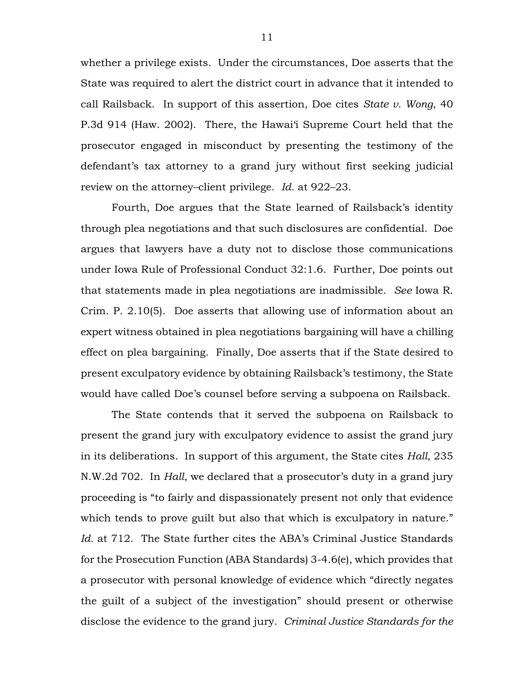whether a privilege exists. Under the circumstances, Doe asserts that the State was required to alert the district court in advance that it intended to call Railsback. In support of this assertion, Doe cites *State v. Wong*, 40 P.3d 914 (Haw. 2002). There, the Hawai'i Supreme Court held that the prosecutor engaged in misconduct by presenting the testimony of the defendant's tax attorney to a grand jury without first seeking judicial review on the attorney–client privilege. *Id.* at 922–23.

Fourth, Doe argues that the State learned of Railsback's identity through plea negotiations and that such disclosures are confidential. Doe argues that lawyers have a duty not to disclose those communications under Iowa Rule of Professional Conduct 32:1.6. Further, Doe points out that statements made in plea negotiations are inadmissible. *See* Iowa R. Crim. P. 2.10(5). Doe asserts that allowing use of information about an expert witness obtained in plea negotiations bargaining will have a chilling effect on plea bargaining. Finally, Doe asserts that if the State desired to present exculpatory evidence by obtaining Railsback's testimony, the State would have called Doe's counsel before serving a subpoena on Railsback.

The State contends that it served the subpoena on Railsback to present the grand jury with exculpatory evidence to assist the grand jury in its deliberations. In support of this argument, the State cites *Hall*, 235 N.W.2d 702. In *Hall*, we declared that a prosecutor's duty in a grand jury proceeding is "to fairly and dispassionately present not only that evidence which tends to prove guilt but also that which is exculpatory in nature." *Id.* at 712. The State further cites the ABA's Criminal Justice Standards for the Prosecution Function (ABA Standards) 3-4.6(e), which provides that a prosecutor with personal knowledge of evidence which "directly negates the guilt of a subject of the investigation" should present or otherwise disclose the evidence to the grand jury. *Criminal Justice Standards for the*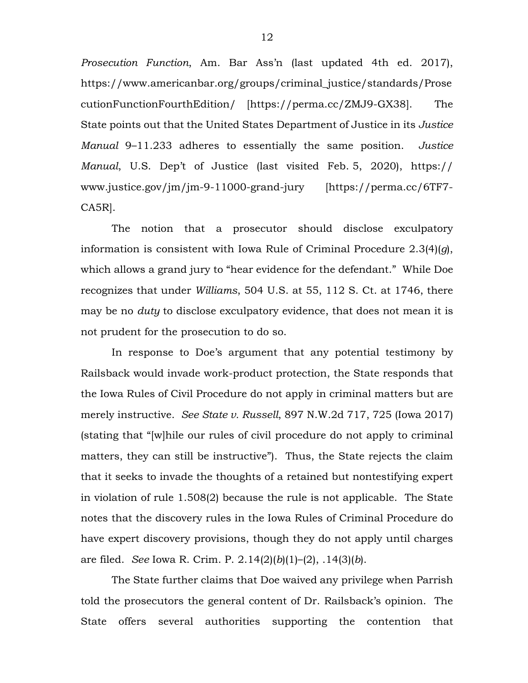*Prosecution Function*, Am. Bar Ass'n (last updated 4th ed. 2017), https://www.americanbar.org/groups/criminal\_justice/standards/Prose cutionFunctionFourthEdition/ [https://perma.cc/ZMJ9-GX38]. The State points out that the United States Department of Justice in its *Justice Manual* 9–11.233 adheres to essentially the same position. *Justice Manual*, U.S. Dep't of Justice (last visited Feb. 5, 2020), https:// www.justice.gov/jm/jm-9-11000-grand-jury [https://perma.cc/6TF7- CA5R].

The notion that a prosecutor should disclose exculpatory information is consistent with Iowa Rule of Criminal Procedure 2.3(4)(*g*), which allows a grand jury to "hear evidence for the defendant." While Doe recognizes that under *Williams*, 504 U.S. at 55, 112 S. Ct. at 1746, there may be no *duty* to disclose exculpatory evidence, that does not mean it is not prudent for the prosecution to do so.

In response to Doe's argument that any potential testimony by Railsback would invade work-product protection, the State responds that the Iowa Rules of Civil Procedure do not apply in criminal matters but are merely instructive. *See State v. Russell*, 897 N.W.2d 717, 725 (Iowa 2017) (stating that "[w]hile our rules of civil procedure do not apply to criminal matters, they can still be instructive"). Thus, the State rejects the claim that it seeks to invade the thoughts of a retained but nontestifying expert in violation of rule 1.508(2) because the rule is not applicable. The State notes that the discovery rules in the Iowa Rules of Criminal Procedure do have expert discovery provisions, though they do not apply until charges are filed. *See* Iowa R. Crim. P. 2.14(2)(*b*)(1)–(2), .14(3)(*b*).

The State further claims that Doe waived any privilege when Parrish told the prosecutors the general content of Dr. Railsback's opinion. The State offers several authorities supporting the contention that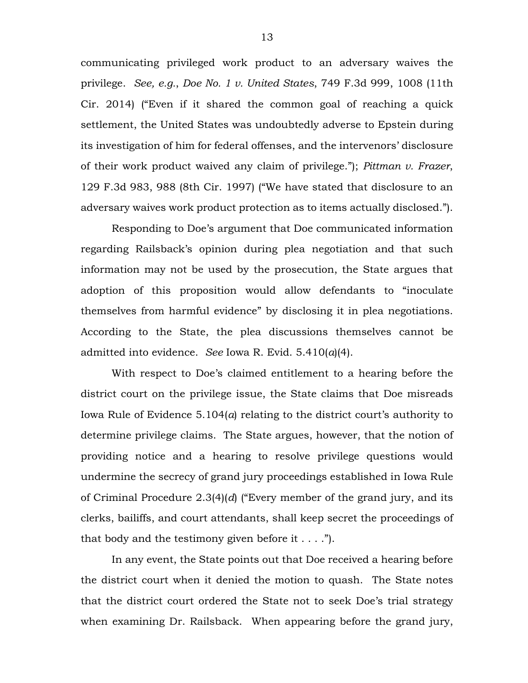communicating privileged work product to an adversary waives the privilege. *See, e.g.*, *Doe No. 1 v. United States*, 749 F.3d 999, 1008 (11th Cir. 2014) ("Even if it shared the common goal of reaching a quick settlement, the United States was undoubtedly adverse to Epstein during its investigation of him for federal offenses, and the intervenors' disclosure of their work product waived any claim of privilege."); *Pittman v. Frazer*, 129 F.3d 983, 988 (8th Cir. 1997) ("We have stated that disclosure to an adversary waives work product protection as to items actually disclosed.").

Responding to Doe's argument that Doe communicated information regarding Railsback's opinion during plea negotiation and that such information may not be used by the prosecution, the State argues that adoption of this proposition would allow defendants to "inoculate themselves from harmful evidence" by disclosing it in plea negotiations. According to the State, the plea discussions themselves cannot be admitted into evidence. *See* Iowa R. Evid. 5.410(*a*)(4).

With respect to Doe's claimed entitlement to a hearing before the district court on the privilege issue, the State claims that Doe misreads Iowa Rule of Evidence 5.104(*a*) relating to the district court's authority to determine privilege claims. The State argues, however, that the notion of providing notice and a hearing to resolve privilege questions would undermine the secrecy of grand jury proceedings established in Iowa Rule of Criminal Procedure 2.3(4)(*d*) ("Every member of the grand jury, and its clerks, bailiffs, and court attendants, shall keep secret the proceedings of that body and the testimony given before it  $\dots$ .").

In any event, the State points out that Doe received a hearing before the district court when it denied the motion to quash. The State notes that the district court ordered the State not to seek Doe's trial strategy when examining Dr. Railsback. When appearing before the grand jury,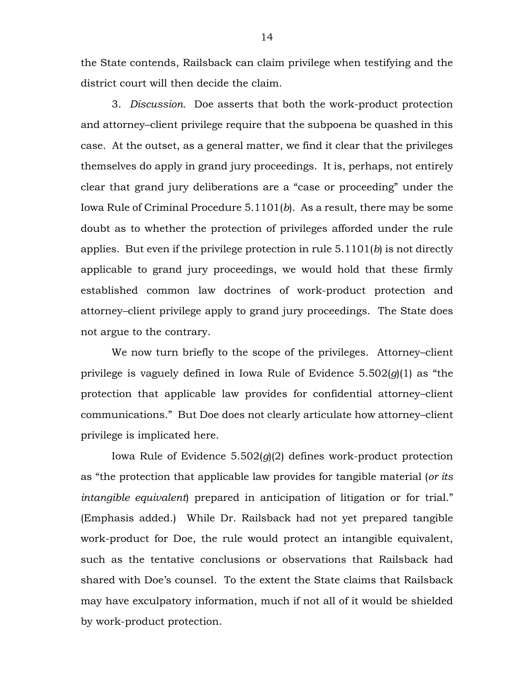the State contends, Railsback can claim privilege when testifying and the district court will then decide the claim.

3. *Discussion.* Doe asserts that both the work-product protection and attorney–client privilege require that the subpoena be quashed in this case. At the outset, as a general matter, we find it clear that the privileges themselves do apply in grand jury proceedings. It is, perhaps, not entirely clear that grand jury deliberations are a "case or proceeding" under the Iowa Rule of Criminal Procedure 5.1101(*b*). As a result, there may be some doubt as to whether the protection of privileges afforded under the rule applies. But even if the privilege protection in rule 5.1101(*b*) is not directly applicable to grand jury proceedings, we would hold that these firmly established common law doctrines of work-product protection and attorney–client privilege apply to grand jury proceedings. The State does not argue to the contrary.

We now turn briefly to the scope of the privileges. Attorney-client privilege is vaguely defined in Iowa Rule of Evidence 5.502(*g*)(1) as "the protection that applicable law provides for confidential attorney–client communications." But Doe does not clearly articulate how attorney–client privilege is implicated here.

Iowa Rule of Evidence 5.502(*g*)(2) defines work-product protection as "the protection that applicable law provides for tangible material (*or its intangible equivalent*) prepared in anticipation of litigation or for trial." (Emphasis added.) While Dr. Railsback had not yet prepared tangible work-product for Doe, the rule would protect an intangible equivalent, such as the tentative conclusions or observations that Railsback had shared with Doe's counsel. To the extent the State claims that Railsback may have exculpatory information, much if not all of it would be shielded by work-product protection.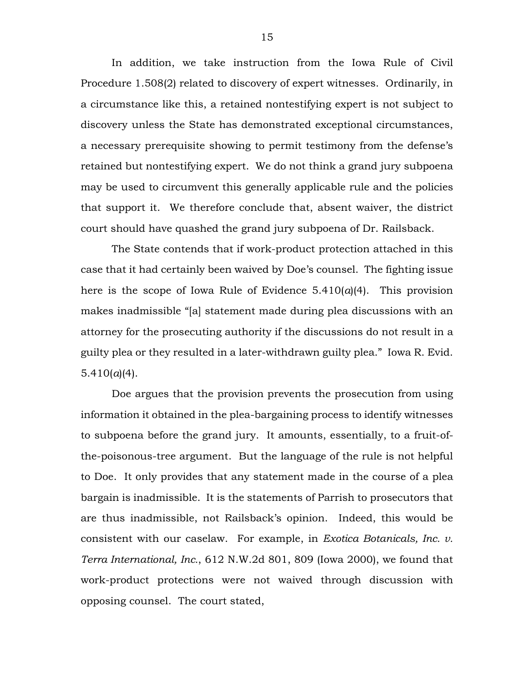In addition, we take instruction from the Iowa Rule of Civil Procedure 1.508(2) related to discovery of expert witnesses. Ordinarily, in a circumstance like this, a retained nontestifying expert is not subject to discovery unless the State has demonstrated exceptional circumstances, a necessary prerequisite showing to permit testimony from the defense's retained but nontestifying expert. We do not think a grand jury subpoena may be used to circumvent this generally applicable rule and the policies that support it. We therefore conclude that, absent waiver, the district court should have quashed the grand jury subpoena of Dr. Railsback.

The State contends that if work-product protection attached in this case that it had certainly been waived by Doe's counsel. The fighting issue here is the scope of Iowa Rule of Evidence  $5.410(a)(4)$ . This provision makes inadmissible "[a] statement made during plea discussions with an attorney for the prosecuting authority if the discussions do not result in a guilty plea or they resulted in a later-withdrawn guilty plea." Iowa R. Evid.  $5.410(a)(4)$ .

Doe argues that the provision prevents the prosecution from using information it obtained in the plea-bargaining process to identify witnesses to subpoena before the grand jury. It amounts, essentially, to a fruit-ofthe-poisonous-tree argument. But the language of the rule is not helpful to Doe. It only provides that any statement made in the course of a plea bargain is inadmissible. It is the statements of Parrish to prosecutors that are thus inadmissible, not Railsback's opinion. Indeed, this would be consistent with our caselaw. For example, in *Exotica Botanicals, Inc. v. Terra International, Inc.*, 612 N.W.2d 801, 809 (Iowa 2000), we found that work-product protections were not waived through discussion with opposing counsel. The court stated,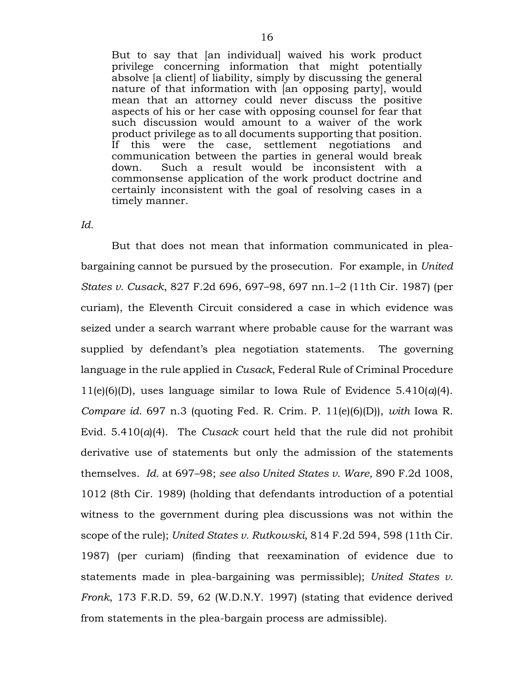But to say that [an individual] waived his work product privilege concerning information that might potentially absolve [a client] of liability, simply by discussing the general nature of that information with [an opposing party], would mean that an attorney could never discuss the positive aspects of his or her case with opposing counsel for fear that such discussion would amount to a waiver of the work product privilege as to all documents supporting that position. If this were the case, settlement negotiations and communication between the parties in general would break down. Such a result would be inconsistent with a commonsense application of the work product doctrine and certainly inconsistent with the goal of resolving cases in a timely manner.

#### *Id.*

But that does not mean that information communicated in pleabargaining cannot be pursued by the prosecution. For example, in *United States v. Cusack*, 827 F.2d 696, 697–98, 697 nn.1–2 (11th Cir. 1987) (per curiam), the Eleventh Circuit considered a case in which evidence was seized under a search warrant where probable cause for the warrant was supplied by defendant's plea negotiation statements. The governing language in the rule applied in *Cusack*, Federal Rule of Criminal Procedure 11(e)(6)(D), uses language similar to Iowa Rule of Evidence 5.410(*a*)(4). *Compare id.* 697 n.3 (quoting Fed. R. Crim. P. 11(e)(6)(D)), *with* Iowa R. Evid.  $5.410(a)(4)$ . The *Cusack* court held that the rule did not prohibit derivative use of statements but only the admission of the statements themselves. *Id.* at 697–98; *see also United States v. Ware*, 890 F.2d 1008, 1012 (8th Cir. 1989) (holding that defendants introduction of a potential witness to the government during plea discussions was not within the scope of the rule); *United States v. Rutkowski*, 814 F.2d 594, 598 (11th Cir. 1987) (per curiam) (finding that reexamination of evidence due to statements made in plea-bargaining was permissible); *United States v. Fronk*, 173 F.R.D. 59, 62 (W.D.N.Y. 1997) (stating that evidence derived from statements in the plea-bargain process are admissible).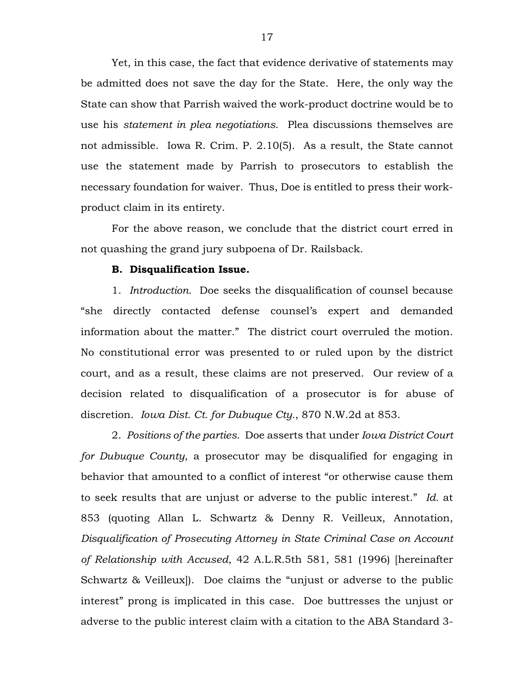Yet, in this case, the fact that evidence derivative of statements may be admitted does not save the day for the State. Here, the only way the State can show that Parrish waived the work-product doctrine would be to use his *statement in plea negotiations*. Plea discussions themselves are not admissible. Iowa R. Crim. P. 2.10(5). As a result, the State cannot use the statement made by Parrish to prosecutors to establish the necessary foundation for waiver. Thus, Doe is entitled to press their workproduct claim in its entirety.

For the above reason, we conclude that the district court erred in not quashing the grand jury subpoena of Dr. Railsback.

### **B. Disqualification Issue.**

1. *Introduction.* Doe seeks the disqualification of counsel because "she directly contacted defense counsel's expert and demanded information about the matter." The district court overruled the motion. No constitutional error was presented to or ruled upon by the district court, and as a result, these claims are not preserved. Our review of a decision related to disqualification of a prosecutor is for abuse of discretion. *Iowa Dist. Ct. for Dubuque Cty.*, 870 N.W.2d at 853.

2. *Positions of the parties.* Doe asserts that under *Iowa District Court for Dubuque County*, a prosecutor may be disqualified for engaging in behavior that amounted to a conflict of interest "or otherwise cause them to seek results that are unjust or adverse to the public interest." *Id.* at 853 (quoting Allan L. Schwartz & Denny R. Veilleux, Annotation, *Disqualification of Prosecuting Attorney in State Criminal Case on Account of Relationship with Accused*, 42 A.L.R.5th 581, 581 (1996) [hereinafter Schwartz & Veilleux]). Doe claims the "unjust or adverse to the public interest" prong is implicated in this case. Doe buttresses the unjust or adverse to the public interest claim with a citation to the ABA Standard 3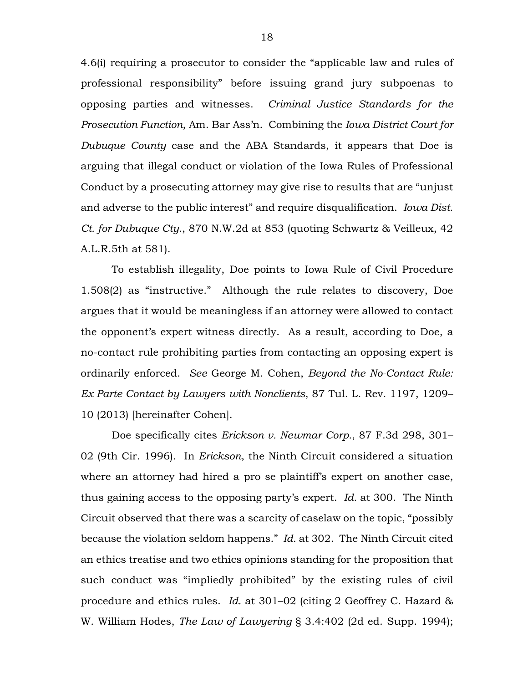4.6(i) requiring a prosecutor to consider the "applicable law and rules of professional responsibility" before issuing grand jury subpoenas to opposing parties and witnesses. *Criminal Justice Standards for the Prosecution Function*, Am. Bar Ass'n. Combining the *Iowa District Court for Dubuque County* case and the ABA Standards, it appears that Doe is arguing that illegal conduct or violation of the Iowa Rules of Professional Conduct by a prosecuting attorney may give rise to results that are "unjust and adverse to the public interest" and require disqualification. *Iowa Dist. Ct. for Dubuque Cty.*, 870 N.W.2d at 853 (quoting Schwartz & Veilleux, 42 A.L.R.5th at 581).

To establish illegality, Doe points to Iowa Rule of Civil Procedure 1.508(2) as "instructive." Although the rule relates to discovery, Doe argues that it would be meaningless if an attorney were allowed to contact the opponent's expert witness directly. As a result, according to Doe, a no-contact rule prohibiting parties from contacting an opposing expert is ordinarily enforced. *See* George M. Cohen, *Beyond the No-Contact Rule: Ex Parte Contact by Lawyers with Nonclients*, 87 Tul. L. Rev. 1197, 1209– 10 (2013) [hereinafter Cohen].

Doe specifically cites *Erickson v. Newmar Corp.*, 87 F.3d 298, 301– 02 (9th Cir. 1996). In *Erickson*, the Ninth Circuit considered a situation where an attorney had hired a pro se plaintiff's expert on another case, thus gaining access to the opposing party's expert. *Id.* at 300. The Ninth Circuit observed that there was a scarcity of caselaw on the topic, "possibly because the violation seldom happens." *Id.* at 302. The Ninth Circuit cited an ethics treatise and two ethics opinions standing for the proposition that such conduct was "impliedly prohibited" by the existing rules of civil procedure and ethics rules. *Id.* at 301–02 (citing 2 Geoffrey C. Hazard & W. William Hodes, *The Law of Lawyering* § 3.4:402 (2d ed. Supp. 1994);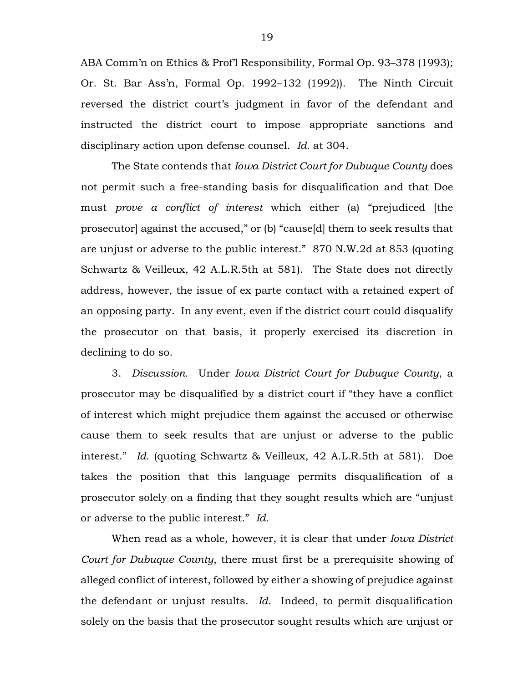ABA Comm'n on Ethics & Prof'l Responsibility, Formal Op. 93–378 (1993); Or. St. Bar Ass'n, Formal Op. 1992–132 (1992)). The Ninth Circuit reversed the district court's judgment in favor of the defendant and instructed the district court to impose appropriate sanctions and disciplinary action upon defense counsel. *Id.* at 304.

The State contends that *Iowa District Court for Dubuque County* does not permit such a free-standing basis for disqualification and that Doe must *prove a conflict of interest* which either (a) "prejudiced [the prosecutor] against the accused," or (b) "cause[d] them to seek results that are unjust or adverse to the public interest." 870 N.W.2d at 853 (quoting Schwartz & Veilleux, 42 A.L.R.5th at 581). The State does not directly address, however, the issue of ex parte contact with a retained expert of an opposing party. In any event, even if the district court could disqualify the prosecutor on that basis, it properly exercised its discretion in declining to do so.

3. *Discussion.* Under *Iowa District Court for Dubuque County*, a prosecutor may be disqualified by a district court if "they have a conflict of interest which might prejudice them against the accused or otherwise cause them to seek results that are unjust or adverse to the public interest." *Id.* (quoting Schwartz & Veilleux, 42 A.L.R.5th at 581). Doe takes the position that this language permits disqualification of a prosecutor solely on a finding that they sought results which are "unjust or adverse to the public interest." *Id.*

When read as a whole, however, it is clear that under *Iowa District Court for Dubuque County*, there must first be a prerequisite showing of alleged conflict of interest, followed by either a showing of prejudice against the defendant or unjust results. *Id.* Indeed, to permit disqualification solely on the basis that the prosecutor sought results which are unjust or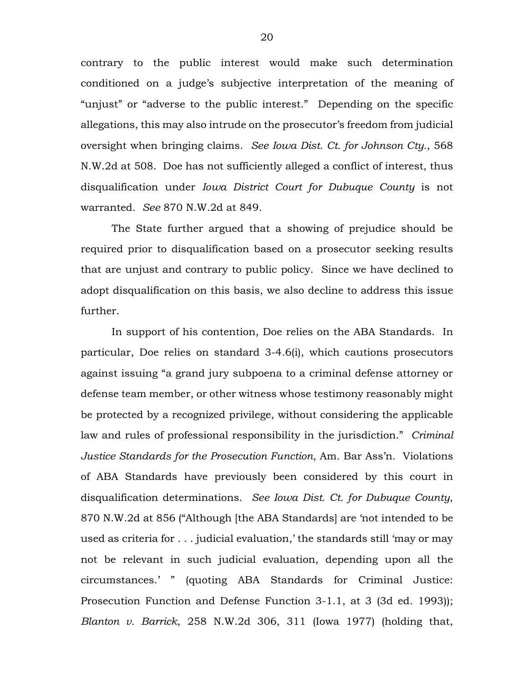contrary to the public interest would make such determination conditioned on a judge's subjective interpretation of the meaning of "unjust" or "adverse to the public interest." Depending on the specific allegations, this may also intrude on the prosecutor's freedom from judicial oversight when bringing claims. *See Iowa Dist. Ct. for Johnson Cty.*, 568 N.W.2d at 508. Doe has not sufficiently alleged a conflict of interest, thus disqualification under *Iowa District Court for Dubuque County* is not warranted. *See* 870 N.W.2d at 849.

The State further argued that a showing of prejudice should be required prior to disqualification based on a prosecutor seeking results that are unjust and contrary to public policy. Since we have declined to adopt disqualification on this basis, we also decline to address this issue further.

In support of his contention, Doe relies on the ABA Standards. In particular, Doe relies on standard 3-4.6(i), which cautions prosecutors against issuing "a grand jury subpoena to a criminal defense attorney or defense team member, or other witness whose testimony reasonably might be protected by a recognized privilege, without considering the applicable law and rules of professional responsibility in the jurisdiction." *Criminal Justice Standards for the Prosecution Function*, Am. Bar Ass'n. Violations of ABA Standards have previously been considered by this court in disqualification determinations. *See Iowa Dist. Ct. for Dubuque County*, 870 N.W.2d at 856 ("Although [the ABA Standards] are 'not intended to be used as criteria for . . . judicial evaluation,' the standards still 'may or may not be relevant in such judicial evaluation, depending upon all the circumstances.' " (quoting ABA Standards for Criminal Justice: Prosecution Function and Defense Function 3-1.1, at 3 (3d ed. 1993)); *Blanton v. Barrick*, 258 N.W.2d 306, 311 (Iowa 1977) (holding that,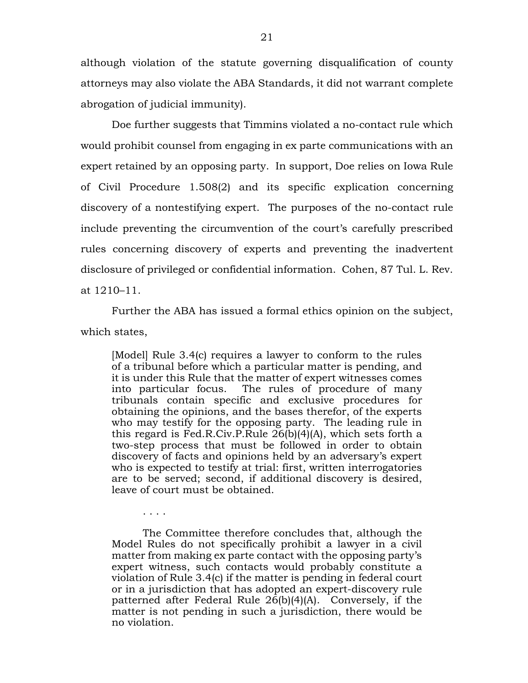although violation of the statute governing disqualification of county attorneys may also violate the ABA Standards, it did not warrant complete abrogation of judicial immunity).

Doe further suggests that Timmins violated a no-contact rule which would prohibit counsel from engaging in ex parte communications with an expert retained by an opposing party. In support, Doe relies on Iowa Rule of Civil Procedure 1.508(2) and its specific explication concerning discovery of a nontestifying expert. The purposes of the no-contact rule include preventing the circumvention of the court's carefully prescribed rules concerning discovery of experts and preventing the inadvertent disclosure of privileged or confidential information. Cohen, 87 Tul. L. Rev. at 1210–11.

Further the ABA has issued a formal ethics opinion on the subject, which states,

[Model] Rule 3.4(c) requires a lawyer to conform to the rules of a tribunal before which a particular matter is pending, and it is under this Rule that the matter of expert witnesses comes into particular focus. The rules of procedure of many tribunals contain specific and exclusive procedures for obtaining the opinions, and the bases therefor, of the experts who may testify for the opposing party. The leading rule in this regard is Fed.R.Civ.P.Rule 26(b)(4)(A), which sets forth a two-step process that must be followed in order to obtain discovery of facts and opinions held by an adversary's expert who is expected to testify at trial: first, written interrogatories are to be served; second, if additional discovery is desired, leave of court must be obtained.

The Committee therefore concludes that, although the Model Rules do not specifically prohibit a lawyer in a civil matter from making ex parte contact with the opposing party's expert witness, such contacts would probably constitute a violation of Rule 3.4(c) if the matter is pending in federal court or in a jurisdiction that has adopted an expert-discovery rule patterned after Federal Rule 26(b)(4)(A). Conversely, if the matter is not pending in such a jurisdiction, there would be no violation.

. . . .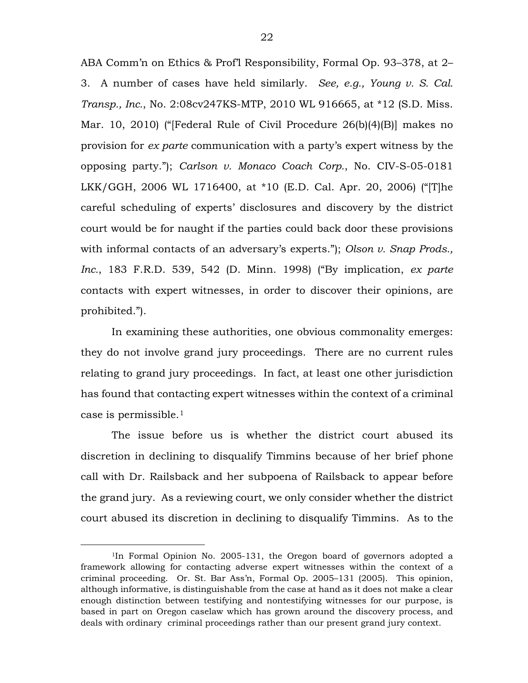ABA Comm'n on Ethics & Prof'l Responsibility, Formal Op. 93–378, at 2– 3. A number of cases have held similarly. *See, e.g., Young v. S. Cal. Transp., Inc.*, No. 2:08cv247KS-MTP, 2010 WL 916665, at \*12 (S.D. Miss. Mar. 10, 2010) ("[Federal Rule of Civil Procedure 26(b)(4)(B)] makes no provision for *ex parte* communication with a party's expert witness by the opposing party."); *Carlson v. Monaco Coach Corp.*, No. CIV-S-05-0181 LKK/GGH, 2006 WL 1716400, at \*10 (E.D. Cal. Apr. 20, 2006) ("[T]he careful scheduling of experts' disclosures and discovery by the district court would be for naught if the parties could back door these provisions with informal contacts of an adversary's experts."); *Olson v. Snap Prods., Inc.*, 183 F.R.D. 539, 542 (D. Minn. 1998) ("By implication, *ex parte* contacts with expert witnesses, in order to discover their opinions, are prohibited.").

In examining these authorities, one obvious commonality emerges: they do not involve grand jury proceedings. There are no current rules relating to grand jury proceedings. In fact, at least one other jurisdiction has found that contacting expert witnesses within the context of a criminal case is permissible.[1](#page-21-0)

The issue before us is whether the district court abused its discretion in declining to disqualify Timmins because of her brief phone call with Dr. Railsback and her subpoena of Railsback to appear before the grand jury. As a reviewing court, we only consider whether the district court abused its discretion in declining to disqualify Timmins. As to the

<span id="page-21-0"></span> <sup>1</sup>In Formal Opinion No. 2005-131, the Oregon board of governors adopted a framework allowing for contacting adverse expert witnesses within the context of a criminal proceeding. Or. St. Bar Ass'n, Formal Op. 2005–131 (2005). This opinion, although informative, is distinguishable from the case at hand as it does not make a clear enough distinction between testifying and nontestifying witnesses for our purpose, is based in part on Oregon caselaw which has grown around the discovery process, and deals with ordinary criminal proceedings rather than our present grand jury context.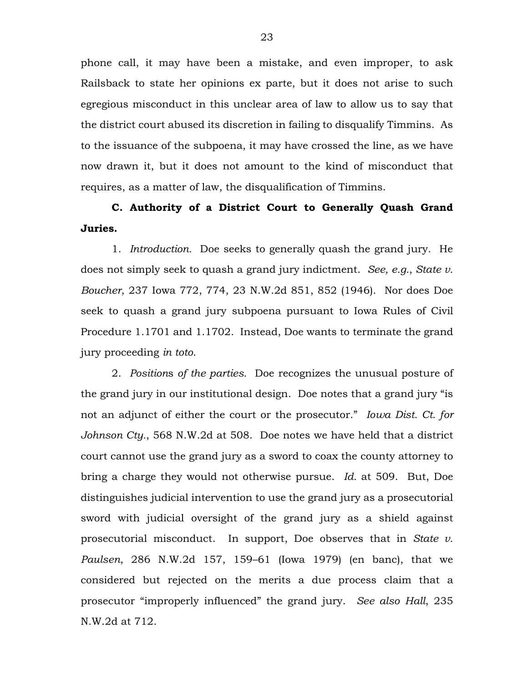phone call, it may have been a mistake, and even improper, to ask Railsback to state her opinions ex parte, but it does not arise to such egregious misconduct in this unclear area of law to allow us to say that the district court abused its discretion in failing to disqualify Timmins. As to the issuance of the subpoena, it may have crossed the line, as we have now drawn it, but it does not amount to the kind of misconduct that requires, as a matter of law, the disqualification of Timmins.

## **C. Authority of a District Court to Generally Quash Grand Juries.**

1. *Introduction.* Doe seeks to generally quash the grand jury. He does not simply seek to quash a grand jury indictment. *See, e.g.*, *State v. Boucher*, 237 Iowa 772, 774, 23 N.W.2d 851, 852 (1946). Nor does Doe seek to quash a grand jury subpoena pursuant to Iowa Rules of Civil Procedure 1.1701 and 1.1702. Instead, Doe wants to terminate the grand jury proceeding *in toto*.

2. *Position*s *of the parties.* Doe recognizes the unusual posture of the grand jury in our institutional design. Doe notes that a grand jury "is not an adjunct of either the court or the prosecutor." *Iowa Dist. Ct. for Johnson Cty.*, 568 N.W.2d at 508. Doe notes we have held that a district court cannot use the grand jury as a sword to coax the county attorney to bring a charge they would not otherwise pursue. *Id.* at 509. But, Doe distinguishes judicial intervention to use the grand jury as a prosecutorial sword with judicial oversight of the grand jury as a shield against prosecutorial misconduct. In support, Doe observes that in *State v. Paulsen*, 286 N.W.2d 157, 159–61 (Iowa 1979) (en banc), that we considered but rejected on the merits a due process claim that a prosecutor "improperly influenced" the grand jury. *See also Hall*, 235 N.W.2d at 712.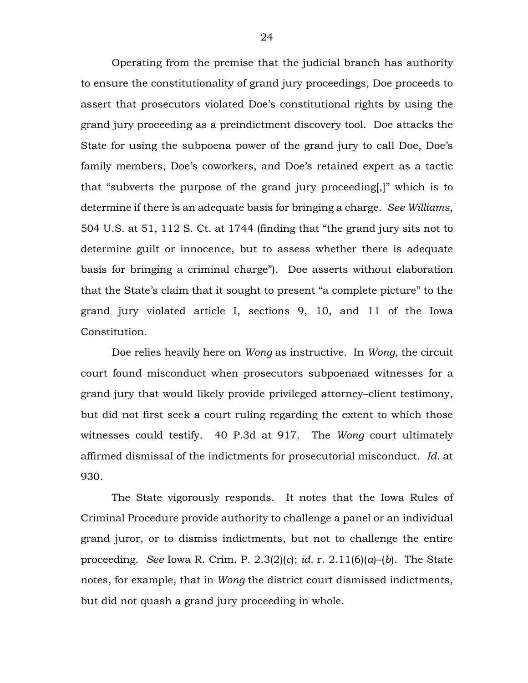Operating from the premise that the judicial branch has authority to ensure the constitutionality of grand jury proceedings, Doe proceeds to assert that prosecutors violated Doe's constitutional rights by using the grand jury proceeding as a preindictment discovery tool. Doe attacks the State for using the subpoena power of the grand jury to call Doe, Doe's family members, Doe's coworkers, and Doe's retained expert as a tactic that "subverts the purpose of the grand jury proceeding[,]" which is to determine if there is an adequate basis for bringing a charge. *See Williams*, 504 U.S. at 51, 112 S. Ct. at 1744 (finding that "the grand jury sits not to determine guilt or innocence, but to assess whether there is adequate basis for bringing a criminal charge"). Doe asserts without elaboration that the State's claim that it sought to present "a complete picture" to the grand jury violated article I, sections 9, 10, and 11 of the Iowa Constitution.

Doe relies heavily here on *Wong* as instructive. In *Wong*, the circuit court found misconduct when prosecutors subpoenaed witnesses for a grand jury that would likely provide privileged attorney–client testimony, but did not first seek a court ruling regarding the extent to which those witnesses could testify. 40 P.3d at 917. The *Wong* court ultimately affirmed dismissal of the indictments for prosecutorial misconduct. *Id.* at 930.

The State vigorously responds. It notes that the Iowa Rules of Criminal Procedure provide authority to challenge a panel or an individual grand juror, or to dismiss indictments, but not to challenge the entire proceeding. *See* Iowa R. Crim. P. 2.3(2)(*c*); *id.* r. 2.11(6)(*a*)–(*b*). The State notes, for example, that in *Wong* the district court dismissed indictments, but did not quash a grand jury proceeding in whole.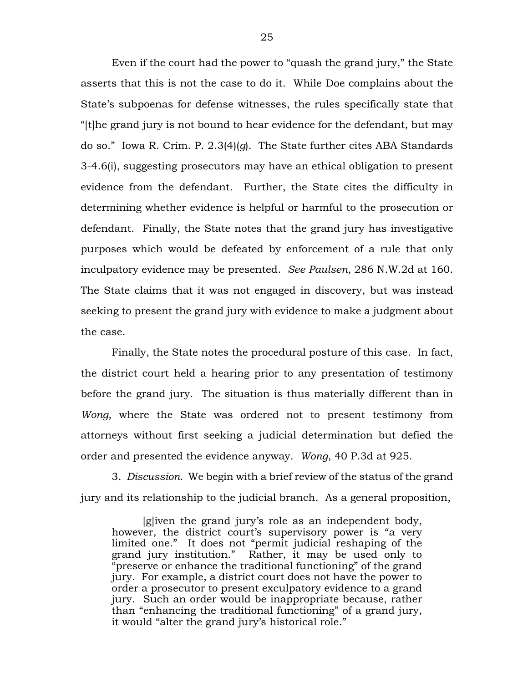Even if the court had the power to "quash the grand jury," the State asserts that this is not the case to do it. While Doe complains about the State's subpoenas for defense witnesses, the rules specifically state that "[t]he grand jury is not bound to hear evidence for the defendant, but may do so." Iowa R. Crim. P. 2.3(4)(*g*). The State further cites ABA Standards 3-4.6(i), suggesting prosecutors may have an ethical obligation to present evidence from the defendant. Further, the State cites the difficulty in determining whether evidence is helpful or harmful to the prosecution or defendant. Finally, the State notes that the grand jury has investigative purposes which would be defeated by enforcement of a rule that only inculpatory evidence may be presented. *See Paulsen*, 286 N.W.2d at 160. The State claims that it was not engaged in discovery, but was instead seeking to present the grand jury with evidence to make a judgment about the case.

Finally, the State notes the procedural posture of this case. In fact, the district court held a hearing prior to any presentation of testimony before the grand jury. The situation is thus materially different than in *Wong*, where the State was ordered not to present testimony from attorneys without first seeking a judicial determination but defied the order and presented the evidence anyway. *Wong*, 40 P.3d at 925.

3. *Discussion.* We begin with a brief review of the status of the grand jury and its relationship to the judicial branch. As a general proposition,

[g]iven the grand jury's role as an independent body, however, the district court's supervisory power is "a very limited one." It does not "permit judicial reshaping of the grand jury institution." Rather, it may be used only to "preserve or enhance the traditional functioning" of the grand jury. For example, a district court does not have the power to order a prosecutor to present exculpatory evidence to a grand jury. Such an order would be inappropriate because, rather than "enhancing the traditional functioning" of a grand jury, it would "alter the grand jury's historical role."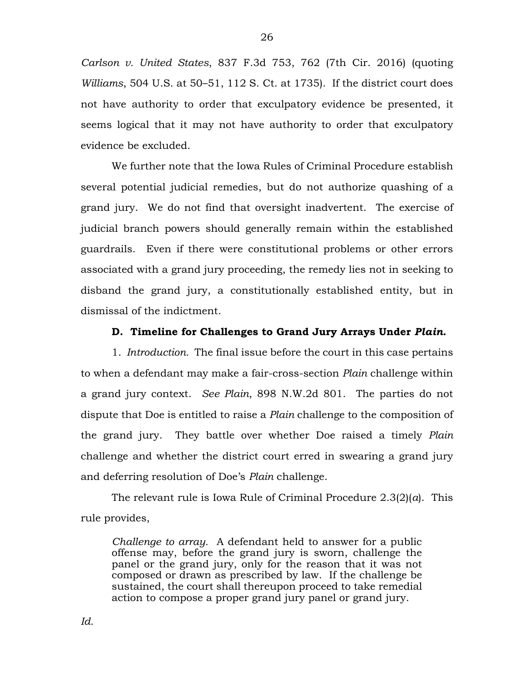*Carlson v. United States*, 837 F.3d 753, 762 (7th Cir. 2016) (quoting *Williams*, 504 U.S. at 50–51, 112 S. Ct. at 1735). If the district court does not have authority to order that exculpatory evidence be presented, it seems logical that it may not have authority to order that exculpatory evidence be excluded.

We further note that the Iowa Rules of Criminal Procedure establish several potential judicial remedies, but do not authorize quashing of a grand jury. We do not find that oversight inadvertent. The exercise of judicial branch powers should generally remain within the established guardrails. Even if there were constitutional problems or other errors associated with a grand jury proceeding, the remedy lies not in seeking to disband the grand jury, a constitutionally established entity, but in dismissal of the indictment.

### **D. Timeline for Challenges to Grand Jury Arrays Under** *Plain***.**

1. *Introduction.* The final issue before the court in this case pertains to when a defendant may make a fair-cross-section *Plain* challenge within a grand jury context. *See Plain*, 898 N.W.2d 801. The parties do not dispute that Doe is entitled to raise a *Plain* challenge to the composition of the grand jury. They battle over whether Doe raised a timely *Plain* challenge and whether the district court erred in swearing a grand jury and deferring resolution of Doe's *Plain* challenge.

The relevant rule is Iowa Rule of Criminal Procedure 2.3(2)(*a*). This rule provides,

*Challenge to array.* A defendant held to answer for a public offense may, before the grand jury is sworn, challenge the panel or the grand jury, only for the reason that it was not composed or drawn as prescribed by law. If the challenge be sustained, the court shall thereupon proceed to take remedial action to compose a proper grand jury panel or grand jury.

26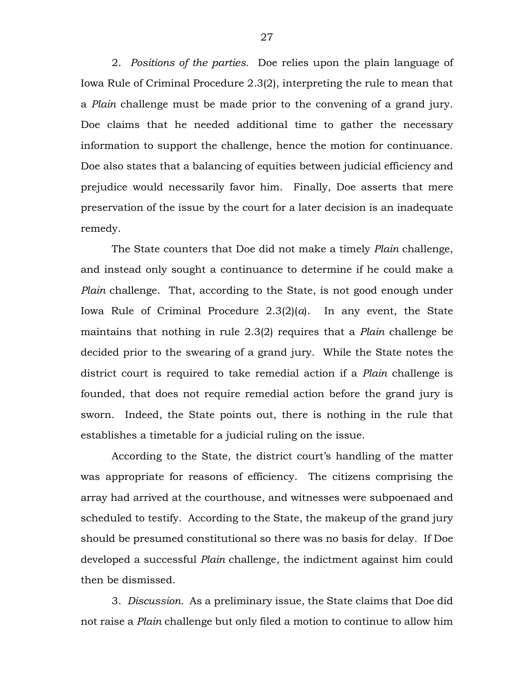2. *Positions of the parties.* Doe relies upon the plain language of Iowa Rule of Criminal Procedure 2.3(2), interpreting the rule to mean that a *Plain* challenge must be made prior to the convening of a grand jury. Doe claims that he needed additional time to gather the necessary information to support the challenge, hence the motion for continuance. Doe also states that a balancing of equities between judicial efficiency and prejudice would necessarily favor him. Finally, Doe asserts that mere preservation of the issue by the court for a later decision is an inadequate remedy.

The State counters that Doe did not make a timely *Plain* challenge, and instead only sought a continuance to determine if he could make a *Plain* challenge. That, according to the State, is not good enough under Iowa Rule of Criminal Procedure 2.3(2)(*a*). In any event, the State maintains that nothing in rule 2.3(2) requires that a *Plain* challenge be decided prior to the swearing of a grand jury. While the State notes the district court is required to take remedial action if a *Plain* challenge is founded, that does not require remedial action before the grand jury is sworn. Indeed, the State points out, there is nothing in the rule that establishes a timetable for a judicial ruling on the issue.

According to the State, the district court's handling of the matter was appropriate for reasons of efficiency. The citizens comprising the array had arrived at the courthouse, and witnesses were subpoenaed and scheduled to testify. According to the State, the makeup of the grand jury should be presumed constitutional so there was no basis for delay. If Doe developed a successful *Plain* challenge, the indictment against him could then be dismissed.

3. *Discussion.* As a preliminary issue, the State claims that Doe did not raise a *Plain* challenge but only filed a motion to continue to allow him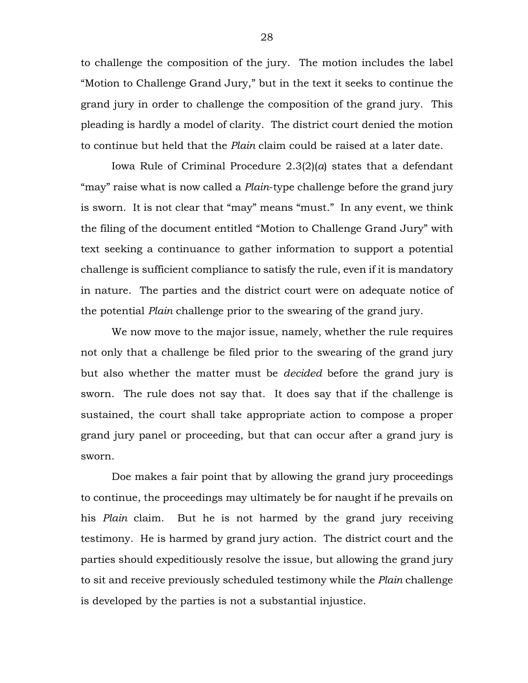to challenge the composition of the jury. The motion includes the label "Motion to Challenge Grand Jury," but in the text it seeks to continue the grand jury in order to challenge the composition of the grand jury. This pleading is hardly a model of clarity. The district court denied the motion to continue but held that the *Plain* claim could be raised at a later date.

Iowa Rule of Criminal Procedure 2.3(2)(*a*) states that a defendant "may" raise what is now called a *Plain*-type challenge before the grand jury is sworn. It is not clear that "may" means "must." In any event, we think the filing of the document entitled "Motion to Challenge Grand Jury" with text seeking a continuance to gather information to support a potential challenge is sufficient compliance to satisfy the rule, even if it is mandatory in nature. The parties and the district court were on adequate notice of the potential *Plain* challenge prior to the swearing of the grand jury.

We now move to the major issue, namely, whether the rule requires not only that a challenge be filed prior to the swearing of the grand jury but also whether the matter must be *decided* before the grand jury is sworn. The rule does not say that. It does say that if the challenge is sustained, the court shall take appropriate action to compose a proper grand jury panel or proceeding, but that can occur after a grand jury is sworn.

Doe makes a fair point that by allowing the grand jury proceedings to continue, the proceedings may ultimately be for naught if he prevails on his *Plain* claim. But he is not harmed by the grand jury receiving testimony. He is harmed by grand jury action. The district court and the parties should expeditiously resolve the issue, but allowing the grand jury to sit and receive previously scheduled testimony while the *Plain* challenge is developed by the parties is not a substantial injustice.

28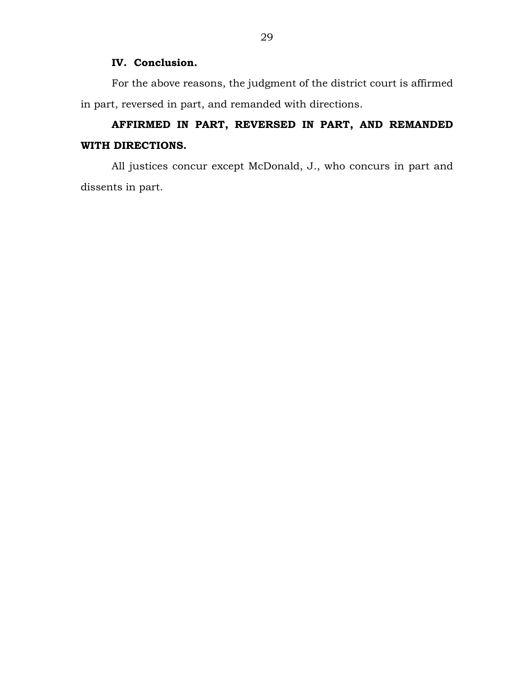## **IV. Conclusion.**

For the above reasons, the judgment of the district court is affirmed in part, reversed in part, and remanded with directions.

# **AFFIRMED IN PART, REVERSED IN PART, AND REMANDED WITH DIRECTIONS.**

All justices concur except McDonald, J., who concurs in part and dissents in part.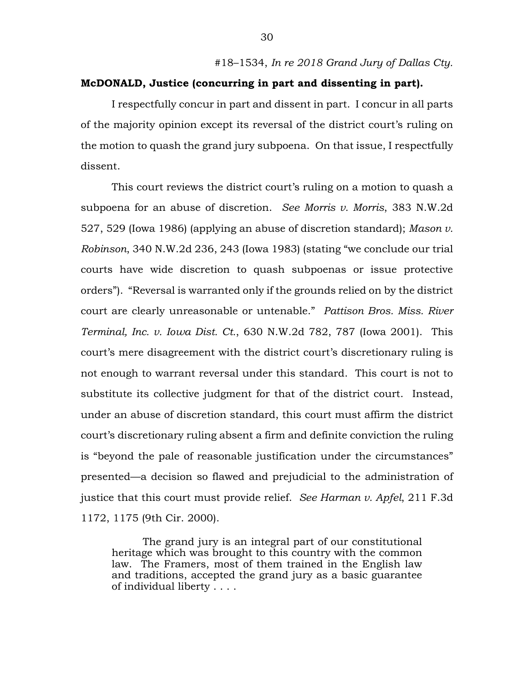### **McDONALD, Justice (concurring in part and dissenting in part).**

I respectfully concur in part and dissent in part. I concur in all parts of the majority opinion except its reversal of the district court's ruling on the motion to quash the grand jury subpoena. On that issue, I respectfully dissent.

This court reviews the district court's ruling on a motion to quash a subpoena for an abuse of discretion. *See Morris v. Morris*, 383 N.W.2d 527, 529 (Iowa 1986) (applying an abuse of discretion standard); *Mason v. Robinson*, 340 N.W.2d 236, 243 (Iowa 1983) (stating "we conclude our trial courts have wide discretion to quash subpoenas or issue protective orders"). "Reversal is warranted only if the grounds relied on by the district court are clearly unreasonable or untenable." *Pattison Bros. Miss. River Terminal, Inc. v. Iowa Dist. Ct.*, 630 N.W.2d 782, 787 (Iowa 2001). This court's mere disagreement with the district court's discretionary ruling is not enough to warrant reversal under this standard. This court is not to substitute its collective judgment for that of the district court. Instead, under an abuse of discretion standard, this court must affirm the district court's discretionary ruling absent a firm and definite conviction the ruling is "beyond the pale of reasonable justification under the circumstances" presented—a decision so flawed and prejudicial to the administration of justice that this court must provide relief. *See Harman v. Apfel*, 211 F.3d 1172, 1175 (9th Cir. 2000).

The grand jury is an integral part of our constitutional heritage which was brought to this country with the common law. The Framers, most of them trained in the English law and traditions, accepted the grand jury as a basic guarantee of individual liberty . . . .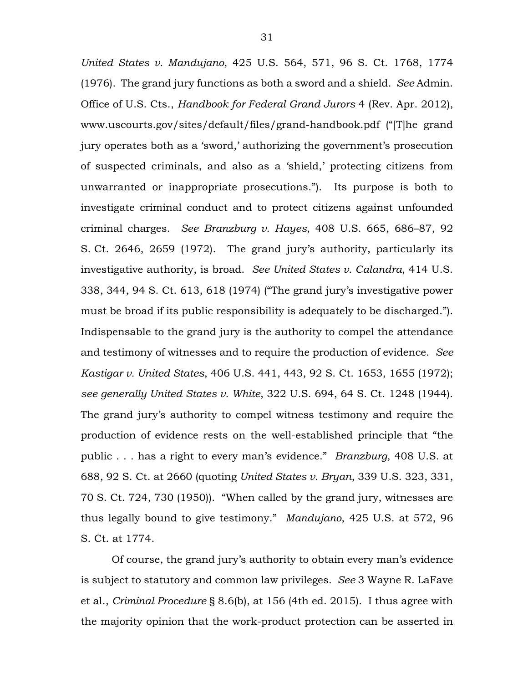*United States v. Mandujano*, 425 U.S. 564, 571, 96 S. Ct. 1768, 1774 (1976). The grand jury functions as both a sword and a shield. *See* Admin. Office of U.S. Cts., *Handbook for Federal Grand Jurors* 4 (Rev. Apr. 2012), www.uscourts.gov/sites/default/files/grand-handbook.pdf ("[T]he grand jury operates both as a 'sword,' authorizing the government's prosecution of suspected criminals, and also as a 'shield,' protecting citizens from unwarranted or inappropriate prosecutions."). Its purpose is both to investigate criminal conduct and to protect citizens against unfounded criminal charges. *See Branzburg v. Hayes*, 408 U.S. 665, 686–87, 92 S. Ct. 2646, 2659 (1972). The grand jury's authority, particularly its investigative authority, is broad. *See United States v. Calandra*, 414 U.S. 338, 344, 94 S. Ct. 613, 618 (1974) ("The grand jury's investigative power must be broad if its public responsibility is adequately to be discharged."). Indispensable to the grand jury is the authority to compel the attendance and testimony of witnesses and to require the production of evidence. *See Kastigar v. United States*, 406 U.S. 441, 443, 92 S. Ct. 1653, 1655 (1972); *see generally United States v. White*, 322 U.S. 694, 64 S. Ct. 1248 (1944). The grand jury's authority to compel witness testimony and require the production of evidence rests on the well-established principle that "the public . . . has a right to every man's evidence." *Branzburg*, 408 U.S. at 688, 92 S. Ct. at 2660 (quoting *United States v. Bryan*, 339 U.S. 323, 331, 70 S. Ct. 724, 730 (1950)). "When called by the grand jury, witnesses are thus legally bound to give testimony." *Mandujano*, 425 U.S. at 572, 96 S. Ct. at 1774.

Of course, the grand jury's authority to obtain every man's evidence is subject to statutory and common law privileges. *See* 3 Wayne R. LaFave et al., *Criminal Procedure* § 8.6(b), at 156 (4th ed. 2015). I thus agree with the majority opinion that the work-product protection can be asserted in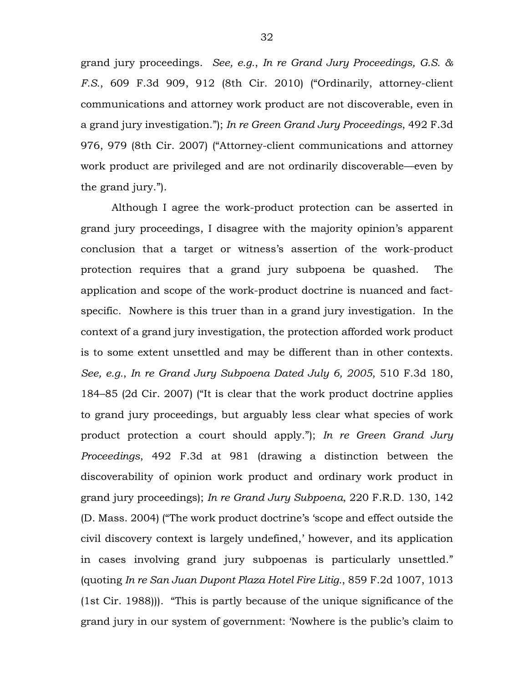grand jury proceedings. *See, e.g.*, *In re Grand Jury Proceedings, G.S. & F.S.*, 609 F.3d 909, 912 (8th Cir. 2010) ("Ordinarily, attorney-client communications and attorney work product are not discoverable, even in a grand jury investigation."); *In re Green Grand Jury Proceedings*, 492 F.3d 976, 979 (8th Cir. 2007) ("Attorney-client communications and attorney work product are privileged and are not ordinarily discoverable—even by the grand jury.").

Although I agree the work-product protection can be asserted in grand jury proceedings, I disagree with the majority opinion's apparent conclusion that a target or witness's assertion of the work-product protection requires that a grand jury subpoena be quashed. The application and scope of the work-product doctrine is nuanced and factspecific. Nowhere is this truer than in a grand jury investigation. In the context of a grand jury investigation, the protection afforded work product is to some extent unsettled and may be different than in other contexts. *See, e.g.*, *In re Grand Jury Subpoena Dated July 6, 2005*, 510 F.3d 180, 184–85 (2d Cir. 2007) ("It is clear that the work product doctrine applies to grand jury proceedings, but arguably less clear what species of work product protection a court should apply."); *In re Green Grand Jury Proceedings*, 492 F.3d at 981 (drawing a distinction between the discoverability of opinion work product and ordinary work product in grand jury proceedings); *In re Grand Jury Subpoena*, 220 F.R.D. 130, 142 (D. Mass. 2004) ("The work product doctrine's 'scope and effect outside the civil discovery context is largely undefined,' however, and its application in cases involving grand jury subpoenas is particularly unsettled." (quoting *In re San Juan Dupont Plaza Hotel Fire Litig.*, 859 F.2d 1007, 1013 (1st Cir. 1988))). "This is partly because of the unique significance of the grand jury in our system of government: 'Nowhere is the public's claim to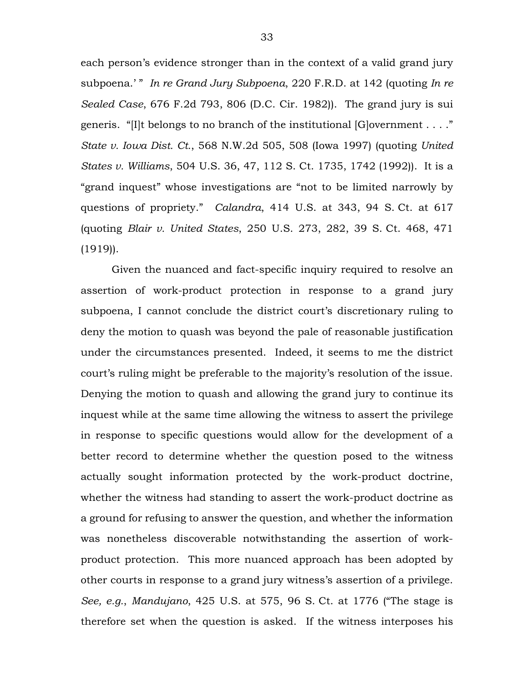each person's evidence stronger than in the context of a valid grand jury subpoena.' " *In re Grand Jury Subpoena*, 220 F.R.D. at 142 (quoting *In re Sealed Case*, 676 F.2d 793, 806 (D.C. Cir. 1982)). The grand jury is sui generis. "[I]t belongs to no branch of the institutional [G]overnment . . . ." *State v. Iowa Dist. Ct.*, 568 N.W.2d 505, 508 (Iowa 1997) (quoting *United States v. Williams*, 504 U.S. 36, 47, 112 S. Ct. 1735, 1742 (1992)). It is a "grand inquest" whose investigations are "not to be limited narrowly by questions of propriety." *Calandra*, 414 U.S. at 343, 94 S. Ct. at 617 (quoting *Blair v. United States*, 250 U.S. 273, 282, 39 S. Ct. 468, 471 (1919)).

Given the nuanced and fact-specific inquiry required to resolve an assertion of work-product protection in response to a grand jury subpoena, I cannot conclude the district court's discretionary ruling to deny the motion to quash was beyond the pale of reasonable justification under the circumstances presented. Indeed, it seems to me the district court's ruling might be preferable to the majority's resolution of the issue. Denying the motion to quash and allowing the grand jury to continue its inquest while at the same time allowing the witness to assert the privilege in response to specific questions would allow for the development of a better record to determine whether the question posed to the witness actually sought information protected by the work-product doctrine, whether the witness had standing to assert the work-product doctrine as a ground for refusing to answer the question, and whether the information was nonetheless discoverable notwithstanding the assertion of workproduct protection. This more nuanced approach has been adopted by other courts in response to a grand jury witness's assertion of a privilege. *See, e.g.*, *Mandujano*, 425 U.S. at 575, 96 S. Ct. at 1776 ("The stage is therefore set when the question is asked. If the witness interposes his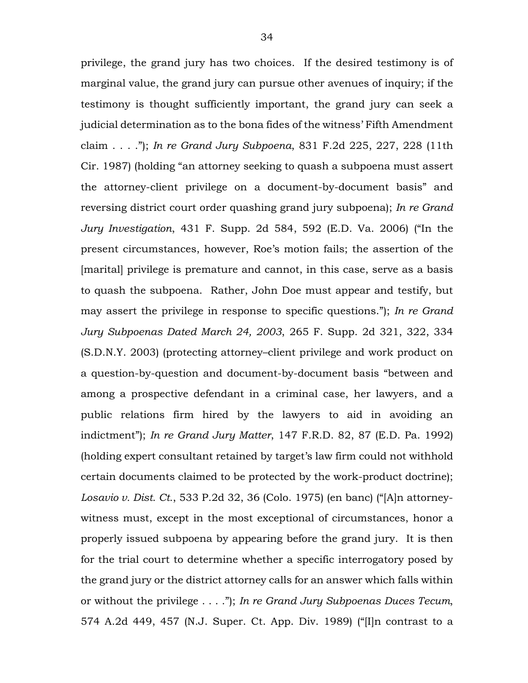privilege, the grand jury has two choices. If the desired testimony is of marginal value, the grand jury can pursue other avenues of inquiry; if the testimony is thought sufficiently important, the grand jury can seek a judicial determination as to the bona fides of the witness' Fifth Amendment claim . . . ."); *In re Grand Jury Subpoena*, 831 F.2d 225, 227, 228 (11th Cir. 1987) (holding "an attorney seeking to quash a subpoena must assert the attorney-client privilege on a document-by-document basis" and reversing district court order quashing grand jury subpoena); *In re Grand Jury Investigation*, 431 F. Supp. 2d 584, 592 (E.D. Va. 2006) ("In the present circumstances, however, Roe's motion fails; the assertion of the [marital] privilege is premature and cannot, in this case, serve as a basis to quash the subpoena. Rather, John Doe must appear and testify, but may assert the privilege in response to specific questions."); *In re Grand Jury Subpoenas Dated March 24, 2003*, 265 F. Supp. 2d 321, 322, 334 (S.D.N.Y. 2003) (protecting attorney–client privilege and work product on a question-by-question and document-by-document basis "between and among a prospective defendant in a criminal case, her lawyers, and a public relations firm hired by the lawyers to aid in avoiding an indictment"); *In re Grand Jury Matter*, 147 F.R.D. 82, 87 (E.D. Pa. 1992) (holding expert consultant retained by target's law firm could not withhold certain documents claimed to be protected by the work-product doctrine); *Losavio v. Dist. Ct.*, 533 P.2d 32, 36 (Colo. 1975) (en banc) ("[A]n attorneywitness must, except in the most exceptional of circumstances, honor a properly issued subpoena by appearing before the grand jury. It is then for the trial court to determine whether a specific interrogatory posed by the grand jury or the district attorney calls for an answer which falls within or without the privilege . . . ."); *In re Grand Jury Subpoenas Duces Tecum*, 574 A.2d 449, 457 (N.J. Super. Ct. App. Div. 1989) ("[I]n contrast to a